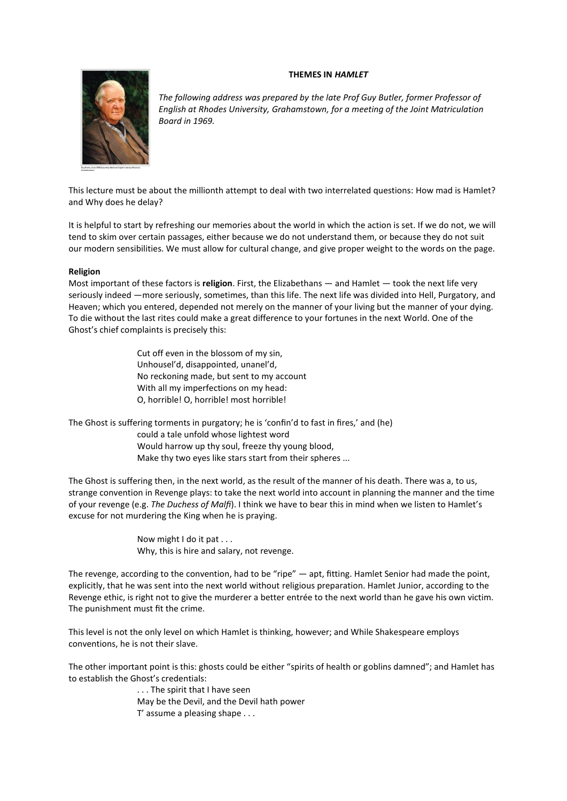# **THEMES IN** *HAMLET*



*The following address was prepared by the late Prof Guy Butler, former Professor of English at Rhodes University, Grahamstown, for a meeting of the Joint Matriculation Board in 1969.*

This lecture must be about the millionth attempt to deal with two interrelated questions: How mad is Hamlet? and Why does he delay?

It is helpful to start by refreshing our memories about the world in which the action is set. If we do not, we will tend to skim over certain passages, either because we do not understand them, or because they do not suit our modern sensibilities. We must allow for cultural change, and give proper weight to the words on the page.

### **Religion**

Most important of these factors is **religion**. First, the Elizabethans — and Hamlet — took the next life very seriously indeed —more seriously, sometimes, than this life. The next life was divided into Hell, Purgatory, and Heaven; which you entered, depended not merely on the manner of your living but the manner of your dying. To die without the last rites could make a great difference to your fortunes in the next World. One of the Ghost's chief complaints is precisely this:

> Cut off even in the blossom of my sin, Unhousel'd, disappointed, unanel'd, No reckoning made, but sent to my account With all my imperfections on my head: O, horrible! O, horrible! most horrible!

The Ghost is suffering torments in purgatory; he is 'confin'd to fast in fires,' and (he) could a tale unfold whose lightest word Would harrow up thy soul, freeze thy young blood, Make thy two eyes like stars start from their spheres ...

The Ghost is suffering then, in the next world, as the result of the manner of his death. There was a, to us, strange convention in Revenge plays: to take the next world into account in planning the manner and the time of your revenge (e.g. *The Duchess of Malfi*). I think we have to bear this in mind when we listen to Hamlet's excuse for not murdering the King when he is praying.

> Now might I do it pat . . . Why, this is hire and salary, not revenge.

The revenge, according to the convention, had to be "ripe" — apt, fitting. Hamlet Senior had made the point, explicitly, that he was sent into the next world without religious preparation. Hamlet Junior, according to the Revenge ethic, is right not to give the murderer a better entrée to the next world than he gave his own victim. The punishment must fit the crime.

This level is not the only level on which Hamlet is thinking, however; and While Shakespeare employs conventions, he is not their slave.

The other important point is this: ghosts could be either "spirits of health or goblins damned"; and Hamlet has to establish the Ghost's credentials:

> . . . The spirit that I have seen May be the Devil, and the Devil hath power T' assume a pleasing shape . . .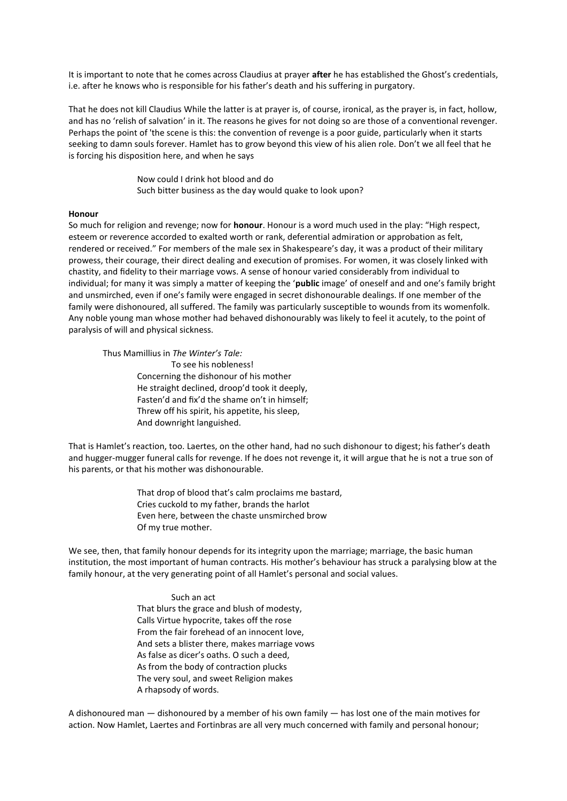It is important to note that he comes across Claudius at prayer **after** he has established the Ghost's credentials, i.e. after he knows who is responsible for his father's death and his suffering in purgatory.

That he does not kill Claudius While the latter is at prayer is, of course, ironical, as the prayer is, in fact, hollow, and has no 'relish of salvation' in it. The reasons he gives for not doing so are those of a conventional revenger. Perhaps the point of 'the scene is this: the convention of revenge is a poor guide, particularly when it starts seeking to damn souls forever. Hamlet has to grow beyond this view of his alien role. Don't we all feel that he is forcing his disposition here, and when he says

> Now could I drink hot blood and do Such bitter business as the day would quake to look upon?

#### **Honour**

So much for religion and revenge; now for **honour**. Honour is a word much used in the play: "High respect, esteem or reverence accorded to exalted worth or rank, deferential admiration or approbation as felt, rendered or received." For members of the male sex in Shakespeare's day, it was a product of their military prowess, their courage, their direct dealing and execution of promises. For women, it was closely linked with chastity, and fidelity to their marriage vows. A sense of honour varied considerably from individual to individual; for many it was simply a matter of keeping the '**public** image' of oneself and and one's family bright and unsmirched, even if one's family were engaged in secret dishonourable dealings. If one member of the family were dishonoured, all suffered. The family was particularly susceptible to wounds from its womenfolk. Any noble young man whose mother had behaved dishonourably was likely to feel it acutely, to the point of paralysis of will and physical sickness.

Thus Mamillius in *The Winter's Tale:*

To see his nobleness! Concerning the dishonour of his mother He straight declined, droop'd took it deeply, Fasten'd and fix'd the shame on't in himself; Threw off his spirit, his appetite, his sleep, And downright languished.

That is Hamlet's reaction, too. Laertes, on the other hand, had no such dishonour to digest; his father's death and hugger-mugger funeral calls for revenge. If he does not revenge it, it will argue that he is not a true son of his parents, or that his mother was dishonourable.

> That drop of blood that's calm proclaims me bastard, Cries cuckold to my father, brands the harlot Even here, between the chaste unsmirched brow Of my true mother.

We see, then, that family honour depends for its integrity upon the marriage; marriage, the basic human institution, the most important of human contracts. His mother's behaviour has struck a paralysing blow at the family honour, at the very generating point of all Hamlet's personal and social values.

> Such an act That blurs the grace and blush of modesty, Calls Virtue hypocrite, takes off the rose From the fair forehead of an innocent love, And sets a blister there, makes marriage vows As false as dicer's oaths. O such a deed, As from the body of contraction plucks The very soul, and sweet Religion makes A rhapsody of words.

A dishonoured man — dishonoured by a member of his own family — has lost one of the main motives for action. Now Hamlet, Laertes and Fortinbras are all very much concerned with family and personal honour;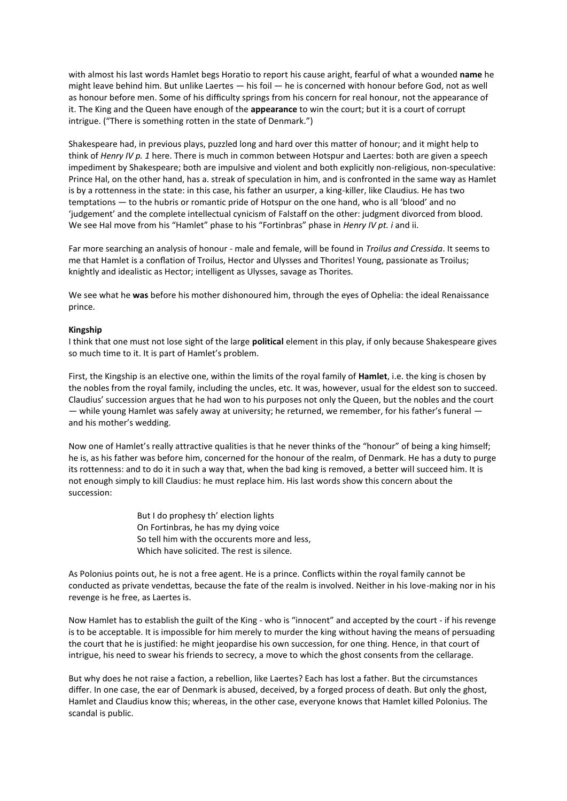with almost his last words Hamlet begs Horatio to report his cause aright, fearful of what a wounded **name** he might leave behind him. But unlike Laertes — his foil — he is concerned with honour before God, not as well as honour before men. Some of his difficulty springs from his concern for real honour, not the appearance of it. The King and the Queen have enough of the **appearance** to win the court; but it is a court of corrupt intrigue. ("There is something rotten in the state of Denmark.")

Shakespeare had, in previous plays, puzzled long and hard over this matter of honour; and it might help to think of *Henry IV p. 1* here. There is much in common between Hotspur and Laertes: both are given a speech impediment by Shakespeare; both are impulsive and violent and both explicitly non-religious, non-speculative: Prince Hal, on the other hand, has a. streak of speculation in him, and is confronted in the same way as Hamlet is by a rottenness in the state: in this case, his father an usurper, a king-killer, like Claudius. He has two temptations — to the hubris or romantic pride of Hotspur on the one hand, who is all 'blood' and no 'judgement' and the complete intellectual cynicism of Falstaff on the other: judgment divorced from blood. We see Hal move from his "Hamlet" phase to his "Fortinbras" phase in *Henry IV pt. i* and ii.

Far more searching an analysis of honour - male and female, will be found in *Troilus and Cressida*. It seems to me that Hamlet is a conflation of Troilus, Hector and Ulysses and Thorites! Young, passionate as Troilus; knightly and idealistic as Hector; intelligent as Ulysses, savage as Thorites.

We see what he **was** before his mother dishonoured him, through the eyes of Ophelia: the ideal Renaissance prince.

### **Kingship**

I think that one must not lose sight of the large **political** element in this play, if only because Shakespeare gives so much time to it. It is part of Hamlet's problem.

First, the Kingship is an elective one, within the limits of the royal family of **Hamlet**, i.e. the king is chosen by the nobles from the royal family, including the uncles, etc. It was, however, usual for the eldest son to succeed. Claudius' succession argues that he had won to his purposes not only the Queen, but the nobles and the court — while young Hamlet was safely away at university; he returned, we remember, for his father's funeral and his mother's wedding.

Now one of Hamlet's really attractive qualities is that he never thinks of the "honour" of being a king himself; he is, as his father was before him, concerned for the honour of the realm, of Denmark. He has a duty to purge its rottenness: and to do it in such a way that, when the bad king is removed, a better will succeed him. It is not enough simply to kill Claudius: he must replace him. His last words show this concern about the succession:

> But I do prophesy th' election lights On Fortinbras, he has my dying voice So tell him with the occurents more and less, Which have solicited. The rest is silence.

As Polonius points out, he is not a free agent. He is a prince. Conflicts within the royal family cannot be conducted as private vendettas, because the fate of the realm is involved. Neither in his love-making nor in his revenge is he free, as Laertes is.

Now Hamlet has to establish the guilt of the King - who is "innocent" and accepted by the court - if his revenge is to be acceptable. It is impossible for him merely to murder the king without having the means of persuading the court that he is justified: he might jeopardise his own succession, for one thing. Hence, in that court of intrigue, his need to swear his friends to secrecy, a move to which the ghost consents from the cellarage.

But why does he not raise a faction, a rebellion, like Laertes? Each has lost a father. But the circumstances differ. In one case, the ear of Denmark is abused, deceived, by a forged process of death. But only the ghost, Hamlet and Claudius know this; whereas, in the other case, everyone knows that Hamlet killed Polonius. The scandal is public.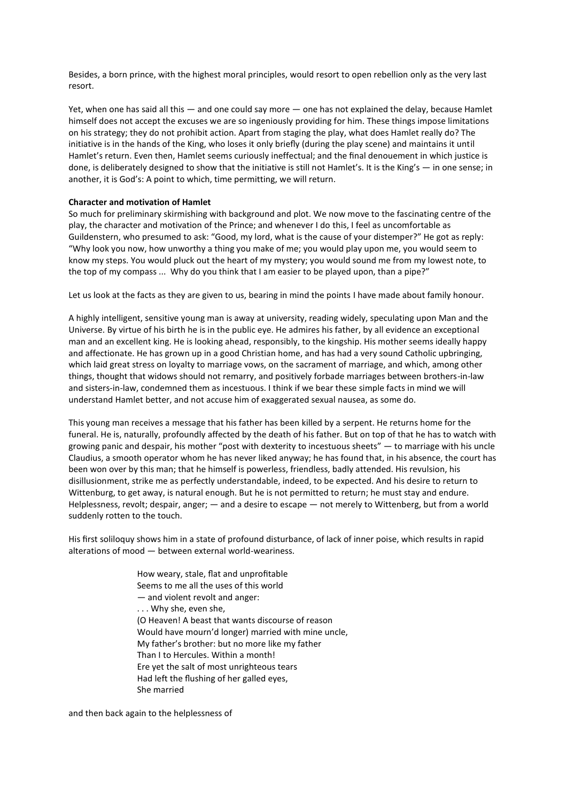Besides, a born prince, with the highest moral principles, would resort to open rebellion only as the very last resort.

Yet, when one has said all this - and one could say more - one has not explained the delay, because Hamlet himself does not accept the excuses we are so ingeniously providing for him. These things impose limitations on his strategy; they do not prohibit action. Apart from staging the play, what does Hamlet really do? The initiative is in the hands of the King, who loses it only briefly (during the play scene) and maintains it until Hamlet's return. Even then, Hamlet seems curiously ineffectual; and the final denouement in which justice is done, is deliberately designed to show that the initiative is still not Hamlet's. It is the King's — in one sense; in another, it is God's: A point to which, time permitting, we will return.

## **Character and motivation of Hamlet**

So much for preliminary skirmishing with background and plot. We now move to the fascinating centre of the play, the character and motivation of the Prince; and whenever I do this, I feel as uncomfortable as Guildenstern, who presumed to ask: "Good, my lord, what is the cause of your distemper?" He got as reply: "Why look you now, how unworthy a thing you make of me; you would play upon me, you would seem to know my steps. You would pluck out the heart of my mystery; you would sound me from my lowest note, to the top of my compass ... Why do you think that I am easier to be played upon, than a pipe?"

Let us look at the facts as they are given to us, bearing in mind the points I have made about family honour.

A highly intelligent, sensitive young man is away at university, reading widely, speculating upon Man and the Universe. By virtue of his birth he is in the public eye. He admires his father, by all evidence an exceptional man and an excellent king. He is looking ahead, responsibly, to the kingship. His mother seems ideally happy and affectionate. He has grown up in a good Christian home, and has had a very sound Catholic upbringing, which laid great stress on loyalty to marriage vows, on the sacrament of marriage, and which, among other things, thought that widows should not remarry, and positively forbade marriages between brothers-in-law and sisters-in-law, condemned them as incestuous. I think if we bear these simple facts in mind we will understand Hamlet better, and not accuse him of exaggerated sexual nausea, as some do.

This young man receives a message that his father has been killed by a serpent. He returns home for the funeral. He is, naturally, profoundly affected by the death of his father. But on top of that he has to watch with growing panic and despair, his mother "post with dexterity to incestuous sheets" — to marriage with his uncle Claudius, a smooth operator whom he has never liked anyway; he has found that, in his absence, the court has been won over by this man; that he himself is powerless, friendless, badly attended. His revulsion, his disillusionment, strike me as perfectly understandable, indeed, to be expected. And his desire to return to Wittenburg, to get away, is natural enough. But he is not permitted to return; he must stay and endure. Helplessness, revolt; despair, anger; — and a desire to escape — not merely to Wittenberg, but from a world suddenly rotten to the touch.

His first soliloquy shows him in a state of profound disturbance, of lack of inner poise, which results in rapid alterations of mood — between external world-weariness.

> How weary, stale, flat and unprofitable Seems to me all the uses of this world — and violent revolt and anger: . . . Why she, even she, (O Heaven! A beast that wants discourse of reason Would have mourn'd longer) married with mine uncle, My father's brother: but no more like my father Than I to Hercules. Within a month! Ere yet the salt of most unrighteous tears Had left the flushing of her galled eyes, She married

and then back again to the helplessness of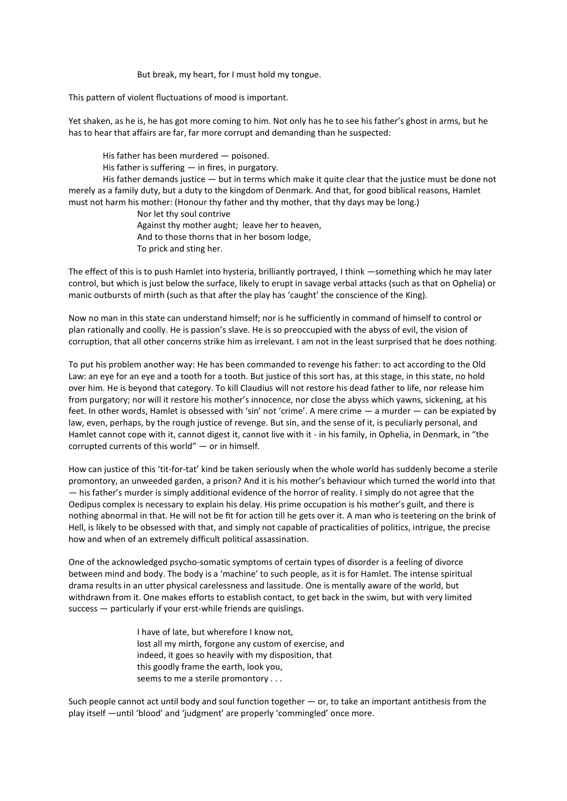But break, my heart, for I must hold my tongue.

This pattern of violent fluctuations of mood is important.

Yet shaken, as he is, he has got more coming to him. Not only has he to see his father's ghost in arms, but he has to hear that affairs are far, far more corrupt and demanding than he suspected:

His father has been murdered — poisoned.

His father is suffering  $-$  in fires, in purgatory.

His father demands justice — but in terms which make it quite clear that the justice must be done not merely as a family duty, but a duty to the kingdom of Denmark. And that, for good biblical reasons, Hamlet must not harm his mother: (Honour thy father and thy mother, that thy days may be long.)

Nor let thy soul contrive Against thy mother aught; leave her to heaven, And to those thorns that in her bosom lodge, To prick and sting her.

The effect of this is to push Hamlet into hysteria, brilliantly portrayed, I think —something which he may later control, but which is just below the surface, likely to erupt in savage verbal attacks (such as that on Ophelia) or manic outbursts of mirth (such as that after the play has 'caught' the conscience of the King).

Now no man in this state can understand himself; nor is he sufficiently in command of himself to control or plan rationally and coolly. He is passion's slave. He is so preoccupied with the abyss of evil, the vision of corruption, that all other concerns strike him as irrelevant. I am not in the least surprised that he does nothing.

To put his problem another way: He has been commanded to revenge his father: to act according to the Old Law: an eye for an eye and a tooth for a tooth. But justice of this sort has, at this stage, in this state, no hold over him. He is beyond that category. To kill Claudius will not restore his dead father to life, nor release him from purgatory; nor will it restore his mother's innocence, nor close the abyss which yawns, sickening, at his feet. In other words, Hamlet is obsessed with 'sin' not 'crime'. A mere crime — a murder — can be expiated by law, even, perhaps, by the rough justice of revenge. But sin, and the sense of it, is peculiarly personal, and Hamlet cannot cope with it, cannot digest it, cannot live with it - in his family, in Ophelia, in Denmark, in "the corrupted currents of this world" — or in himself.

How can justice of this 'tit-for-tat' kind be taken seriously when the whole world has suddenly become a sterile promontory, an unweeded garden, a prison? And it is his mother's behaviour which turned the world into that — his father's murder is simply additional evidence of the horror of reality. I simply do not agree that the Oedipus complex is necessary to explain his delay. His prime occupation is his mother's guilt, and there is nothing abnormal in that. He will not be fit for action till he gets over it. A man who is teetering on the brink of Hell, is likely to be obsessed with that, and simply not capable of practicalities of politics, intrigue, the precise how and when of an extremely difficult political assassination.

One of the acknowledged psycho-somatic symptoms of certain types of disorder is a feeling of divorce between mind and body. The body is a 'machine' to such people, as it is for Hamlet. The intense spiritual drama results in an utter physical carelessness and lassitude. One is mentally aware of the world, but withdrawn from it. One makes efforts to establish contact, to get back in the swim, but with very limited success — particularly if your erst-while friends are quislings.

> I have of late, but wherefore I know not, lost all my mirth, forgone any custom of exercise, and indeed, it goes so heavily with my disposition, that this goodly frame the earth, look you, seems to me a sterile promontory . . .

Such people cannot act until body and soul function together  $-$  or, to take an important antithesis from the play itself —until 'blood' and 'judgment' are properly 'commingled' once more.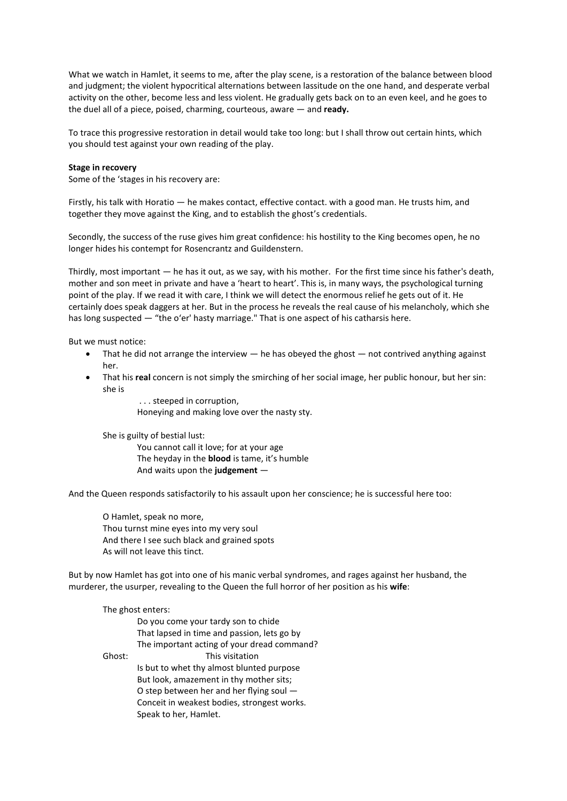What we watch in Hamlet, it seems to me, after the play scene, is a restoration of the balance between blood and judgment; the violent hypocritical alternations between lassitude on the one hand, and desperate verbal activity on the other, become less and less violent. He gradually gets back on to an even keel, and he goes to the duel all of a piece, poised, charming, courteous, aware — and **ready.**

To trace this progressive restoration in detail would take too long: but I shall throw out certain hints, which you should test against your own reading of the play.

### **Stage in recovery**

Some of the 'stages in his recovery are:

Firstly, his talk with Horatio — he makes contact, effective contact. with a good man. He trusts him, and together they move against the King, and to establish the ghost's credentials.

Secondly, the success of the ruse gives him great confidence: his hostility to the King becomes open, he no longer hides his contempt for Rosencrantz and Guildenstern.

Thirdly, most important — he has it out, as we say, with his mother. For the first time since his father's death, mother and son meet in private and have a 'heart to heart'. This is, in many ways, the psychological turning point of the play. If we read it with care, I think we will detect the enormous relief he gets out of it. He certainly does speak daggers at her. But in the process he reveals the real cause of his melancholy, which she has long suspected — "the o'er' hasty marriage." That is one aspect of his catharsis here.

But we must notice:

- $\bullet$  That he did not arrange the interview  $-$  he has obeyed the ghost  $-$  not contrived anything against her.
- That his **real** concern is not simply the smirching of her social image, her public honour, but her sin: she is

. . . steeped in corruption, Honeying and making love over the nasty sty.

She is guilty of bestial lust:

You cannot call it love; for at your age The heyday in the **blood** is tame, it's humble And waits upon the **judgement** —

And the Queen responds satisfactorily to his assault upon her conscience; he is successful here too:

O Hamlet, speak no more, Thou turnst mine eyes into my very soul And there I see such black and grained spots As will not leave this tinct.

But by now Hamlet has got into one of his manic verbal syndromes, and rages against her husband, the murderer, the usurper, revealing to the Queen the full horror of her position as his **wife**:

| The ghost enters: |                                             |
|-------------------|---------------------------------------------|
|                   | Do you come your tardy son to chide         |
|                   | That lapsed in time and passion, lets go by |
|                   | The important acting of your dread command? |
| Ghost:            | This visitation                             |
|                   | Is but to whet thy almost blunted purpose   |
|                   | But look, amazement in thy mother sits;     |
|                   | O step between her and her flying soul -    |
|                   | Conceit in weakest bodies, strongest works. |
|                   | Speak to her, Hamlet.                       |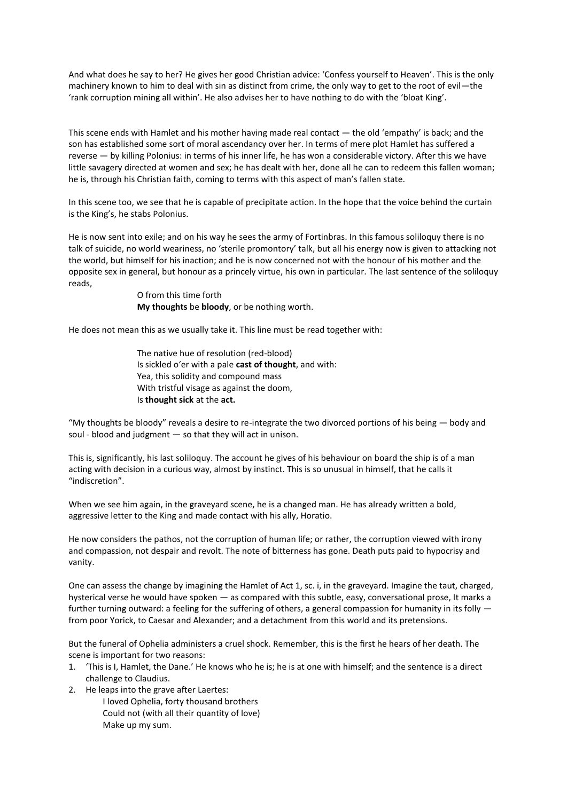And what does he say to her? He gives her good Christian advice: 'Confess yourself to Heaven'. This is the only machinery known to him to deal with sin as distinct from crime, the only way to get to the root of evil—the 'rank corruption mining all within'. He also advises her to have nothing to do with the 'bloat King'.

This scene ends with Hamlet and his mother having made real contact — the old 'empathy' is back; and the son has established some sort of moral ascendancy over her. In terms of mere plot Hamlet has suffered a reverse — by killing Polonius: in terms of his inner life, he has won a considerable victory. After this we have little savagery directed at women and sex; he has dealt with her, done all he can to redeem this fallen woman; he is, through his Christian faith, coming to terms with this aspect of man's fallen state.

In this scene too, we see that he is capable of precipitate action. In the hope that the voice behind the curtain is the King's, he stabs Polonius.

He is now sent into exile; and on his way he sees the army of Fortinbras. In this famous soliloquy there is no talk of suicide, no world weariness, no 'sterile promontory' talk, but all his energy now is given to attacking not the world, but himself for his inaction; and he is now concerned not with the honour of his mother and the opposite sex in general, but honour as a princely virtue, his own in particular. The last sentence of the soliloquy reads,

> O from this time forth **My thoughts** be **bloody**, or be nothing worth.

He does not mean this as we usually take it. This line must be read together with:

The native hue of resolution (red-blood) Is sickled o'er with a pale **cast of thought**, and with: Yea, this solidity and compound mass With tristful visage as against the doom, Is **thought sick** at the **act.**

"My thoughts be bloody" reveals a desire to re-integrate the two divorced portions of his being — body and soul - blood and judgment — so that they will act in unison.

This is, significantly, his last soliloquy. The account he gives of his behaviour on board the ship is of a man acting with decision in a curious way, almost by instinct. This is so unusual in himself, that he calls it "indiscretion".

When we see him again, in the graveyard scene, he is a changed man. He has already written a bold, aggressive letter to the King and made contact with his ally, Horatio.

He now considers the pathos, not the corruption of human life; or rather, the corruption viewed with irony and compassion, not despair and revolt. The note of bitterness has gone. Death puts paid to hypocrisy and vanity.

One can assess the change by imagining the Hamlet of Act 1, sc. i, in the graveyard. Imagine the taut, charged, hysterical verse he would have spoken — as compared with this subtle, easy, conversational prose, It marks a further turning outward: a feeling for the suffering of others, a general compassion for humanity in its folly from poor Yorick, to Caesar and Alexander; and a detachment from this world and its pretensions.

But the funeral of Ophelia administers a cruel shock. Remember, this is the first he hears of her death. The scene is important for two reasons:

- 1. 'This is I, Hamlet, the Dane.' He knows who he is; he is at one with himself; and the sentence is a direct challenge to Claudius.
- 2. He leaps into the grave after Laertes:
	- I loved Ophelia, forty thousand brothers Could not (with all their quantity of love) Make up my sum.